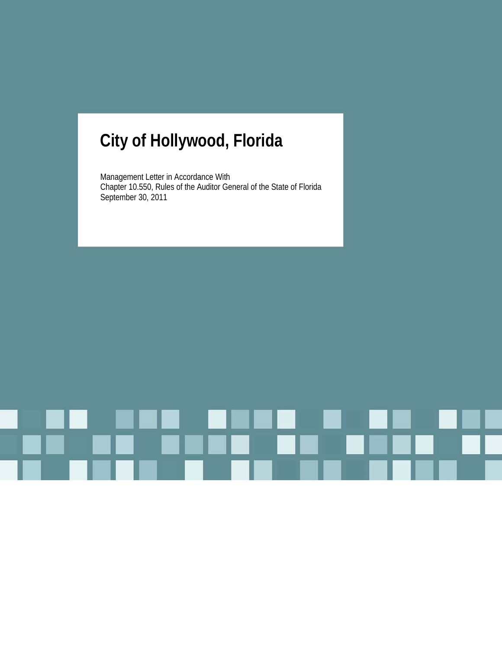# **City of Hollywood, Florida**

Management Letter in Accordance With Chapter 10.550, Rules of the Auditor General of the State of Florida September 30, 2011

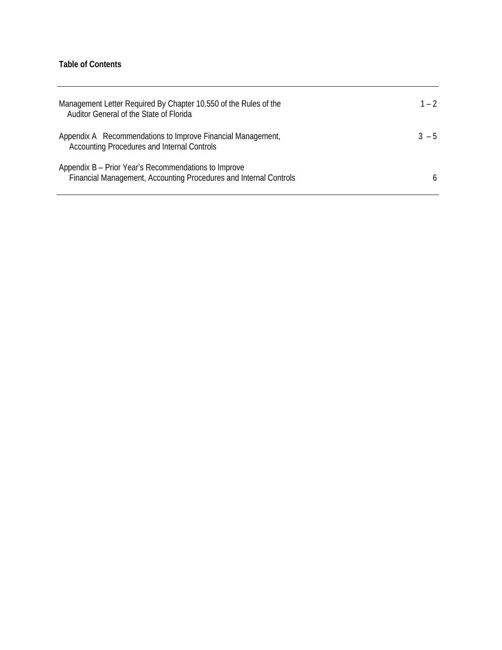## **Table of Contents**

| Management Letter Required By Chapter 10.550 of the Rules of the<br>Auditor General of the State of Florida               | $1 - 2$ |
|---------------------------------------------------------------------------------------------------------------------------|---------|
| Appendix A Recommendations to Improve Financial Management,<br>Accounting Procedures and Internal Controls                | $3 - 5$ |
| Appendix B - Prior Year's Recommendations to Improve<br>Financial Management, Accounting Procedures and Internal Controls | 6       |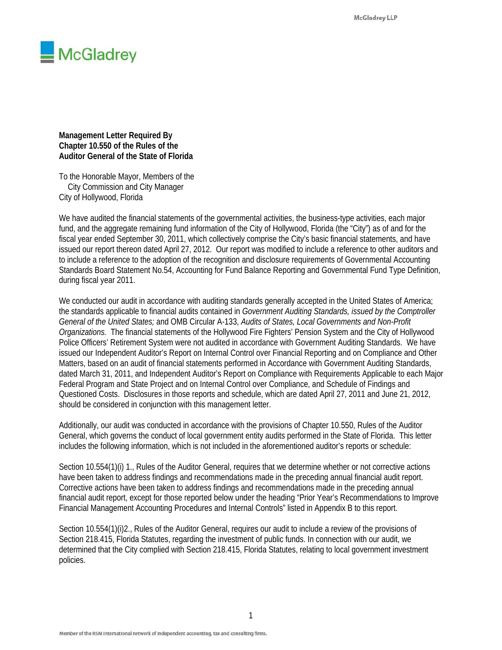

**Management Letter Required By Chapter 10.550 of the Rules of the Auditor General of the State of Florida** 

To the Honorable Mayor, Members of the City Commission and City Manager City of Hollywood, Florida

We have audited the financial statements of the governmental activities, the business-type activities, each major fund, and the aggregate remaining fund information of the City of Hollywood, Florida (the "City") as of and for the fiscal year ended September 30, 2011, which collectively comprise the City's basic financial statements, and have issued our report thereon dated April 27, 2012. Our report was modified to include a reference to other auditors and to include a reference to the adoption of the recognition and disclosure requirements of Governmental Accounting Standards Board Statement No.54, Accounting for Fund Balance Reporting and Governmental Fund Type Definition, during fiscal year 2011.

We conducted our audit in accordance with auditing standards generally accepted in the United States of America; the standards applicable to financial audits contained in *Government Auditing Standards, issued by the Comptroller General of the United States;* and OMB Circular A-133, *Audits of States, Local Governments and Non-Profit Organizations.* The financial statements of the Hollywood Fire Fighters' Pension System and the City of Hollywood Police Officers' Retirement System were not audited in accordance with Government Auditing Standards. We have issued our Independent Auditor's Report on Internal Control over Financial Reporting and on Compliance and Other Matters, based on an audit of financial statements performed in Accordance with Government Auditing Standards, dated March 31, 2011, and Independent Auditor's Report on Compliance with Requirements Applicable to each Major Federal Program and State Project and on Internal Control over Compliance, and Schedule of Findings and Questioned Costs. Disclosures in those reports and schedule, which are dated April 27, 2011 and June 21, 2012, should be considered in conjunction with this management letter.

Additionally, our audit was conducted in accordance with the provisions of Chapter 10.550, Rules of the Auditor General, which governs the conduct of local government entity audits performed in the State of Florida. This letter includes the following information, which is not included in the aforementioned auditor's reports or schedule:

Section 10.554(1)(i) 1., Rules of the Auditor General, requires that we determine whether or not corrective actions have been taken to address findings and recommendations made in the preceding annual financial audit report. Corrective actions have been taken to address findings and recommendations made in the preceding annual financial audit report, except for those reported below under the heading "Prior Year's Recommendations to Improve Financial Management Accounting Procedures and Internal Controls" listed in Appendix B to this report.

Section 10.554(1)(i)2., Rules of the Auditor General, requires our audit to include a review of the provisions of Section 218.415, Florida Statutes, regarding the investment of public funds. In connection with our audit, we determined that the City complied with Section 218.415, Florida Statutes, relating to local government investment policies.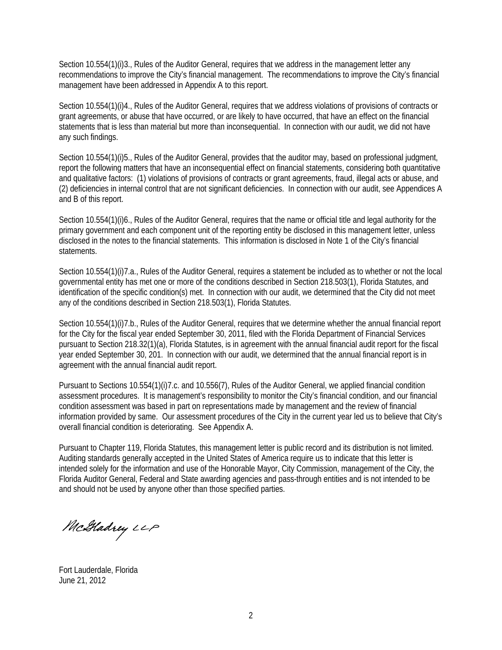Section 10.554(1)(i)3., Rules of the Auditor General, requires that we address in the management letter any recommendations to improve the City's financial management. The recommendations to improve the City's financial management have been addressed in Appendix A to this report.

Section 10.554(1)(i)4., Rules of the Auditor General, requires that we address violations of provisions of contracts or grant agreements, or abuse that have occurred, or are likely to have occurred, that have an effect on the financial statements that is less than material but more than inconsequential. In connection with our audit, we did not have any such findings.

Section 10.554(1)(i)5., Rules of the Auditor General, provides that the auditor may, based on professional judgment, report the following matters that have an inconsequential effect on financial statements, considering both quantitative and qualitative factors: (1) violations of provisions of contracts or grant agreements, fraud, illegal acts or abuse, and (2) deficiencies in internal control that are not significant deficiencies. In connection with our audit, see Appendices A and B of this report.

Section 10.554(1)(i)6., Rules of the Auditor General, requires that the name or official title and legal authority for the primary government and each component unit of the reporting entity be disclosed in this management letter, unless disclosed in the notes to the financial statements. This information is disclosed in Note 1 of the City's financial statements.

Section 10.554(1)(i)7.a., Rules of the Auditor General, requires a statement be included as to whether or not the local governmental entity has met one or more of the conditions described in Section 218.503(1), Florida Statutes, and identification of the specific condition(s) met. In connection with our audit, we determined that the City did not meet any of the conditions described in Section 218.503(1), Florida Statutes.

Section 10.554(1)(i)7.b., Rules of the Auditor General, requires that we determine whether the annual financial report for the City for the fiscal year ended September 30, 2011, filed with the Florida Department of Financial Services pursuant to Section 218.32(1)(a), Florida Statutes, is in agreement with the annual financial audit report for the fiscal year ended September 30, 201. In connection with our audit, we determined that the annual financial report is in agreement with the annual financial audit report.

Pursuant to Sections 10.554(1)(i)7.c. and 10.556(7), Rules of the Auditor General, we applied financial condition assessment procedures. It is management's responsibility to monitor the City's financial condition, and our financial condition assessment was based in part on representations made by management and the review of financial information provided by same. Our assessment procedures of the City in the current year led us to believe that City's overall financial condition is deteriorating. See Appendix A.

Pursuant to Chapter 119, Florida Statutes, this management letter is public record and its distribution is not limited. Auditing standards generally accepted in the United States of America require us to indicate that this letter is intended solely for the information and use of the Honorable Mayor, City Commission, management of the City, the Florida Auditor General, Federal and State awarding agencies and pass-through entities and is not intended to be and should not be used by anyone other than those specified parties.

McHadrey LLP

Fort Lauderdale, Florida June 21, 2012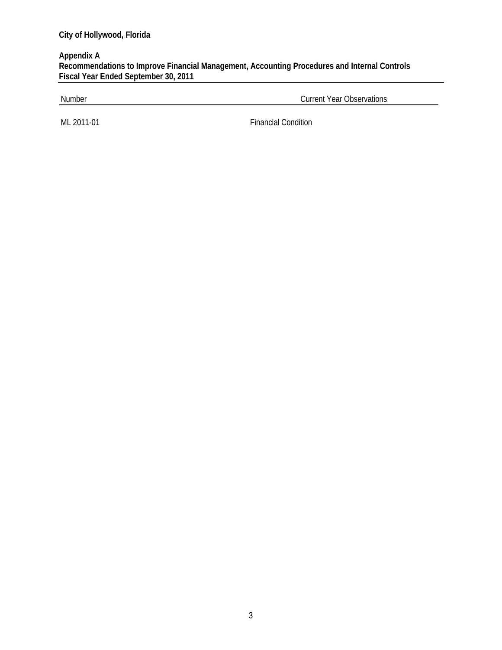### **Appendix A Recommendations to Improve Financial Management, Accounting Procedures and Internal Controls Fiscal Year Ended September 30, 2011**

Number Current Year Observations

ML 2011-01 Financial Condition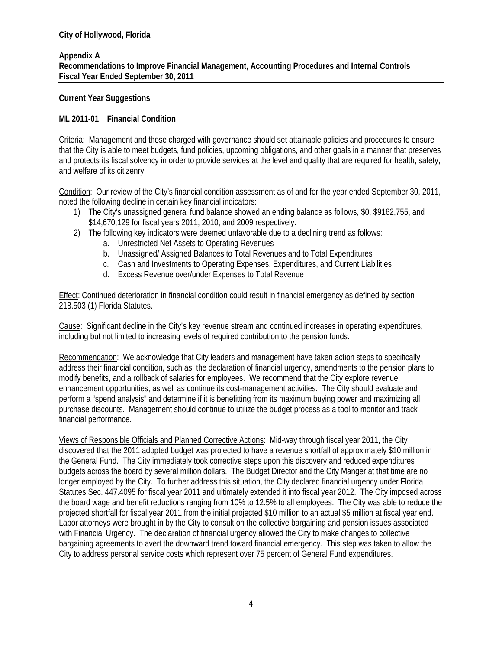#### **Appendix A Recommendations to Improve Financial Management, Accounting Procedures and Internal Controls Fiscal Year Ended September 30, 2011**

#### **Current Year Suggestions**

#### **ML 2011-01 Financial Condition**

Criteria: Management and those charged with governance should set attainable policies and procedures to ensure that the City is able to meet budgets, fund policies, upcoming obligations, and other goals in a manner that preserves and protects its fiscal solvency in order to provide services at the level and quality that are required for health, safety, and welfare of its citizenry.

Condition: Our review of the City's financial condition assessment as of and for the year ended September 30, 2011, noted the following decline in certain key financial indicators:

- 1) The City's unassigned general fund balance showed an ending balance as follows, \$0, \$9162,755, and \$14,670,129 for fiscal years 2011, 2010, and 2009 respectively.
- 2) The following key indicators were deemed unfavorable due to a declining trend as follows:
	- a. Unrestricted Net Assets to Operating Revenues
	- b. Unassigned/ Assigned Balances to Total Revenues and to Total Expenditures
	- c. Cash and Investments to Operating Expenses, Expenditures, and Current Liabilities
	- d. Excess Revenue over/under Expenses to Total Revenue

Effect: Continued deterioration in financial condition could result in financial emergency as defined by section 218.503 (1) Florida Statutes.

Cause: Significant decline in the City's key revenue stream and continued increases in operating expenditures, including but not limited to increasing levels of required contribution to the pension funds.

Recommendation: We acknowledge that City leaders and management have taken action steps to specifically address their financial condition, such as, the declaration of financial urgency, amendments to the pension plans to modify benefits, and a rollback of salaries for employees. We recommend that the City explore revenue enhancement opportunities, as well as continue its cost-management activities. The City should evaluate and perform a "spend analysis" and determine if it is benefitting from its maximum buying power and maximizing all purchase discounts. Management should continue to utilize the budget process as a tool to monitor and track financial performance.

Views of Responsible Officials and Planned Corrective Actions: Mid-way through fiscal year 2011, the City discovered that the 2011 adopted budget was projected to have a revenue shortfall of approximately \$10 million in the General Fund. The City immediately took corrective steps upon this discovery and reduced expenditures budgets across the board by several million dollars. The Budget Director and the City Manger at that time are no longer employed by the City. To further address this situation, the City declared financial urgency under Florida Statutes Sec. 447.4095 for fiscal year 2011 and ultimately extended it into fiscal year 2012. The City imposed across the board wage and benefit reductions ranging from 10% to 12.5% to all employees. The City was able to reduce the projected shortfall for fiscal year 2011 from the initial projected \$10 million to an actual \$5 million at fiscal year end. Labor attorneys were brought in by the City to consult on the collective bargaining and pension issues associated with Financial Urgency. The declaration of financial urgency allowed the City to make changes to collective bargaining agreements to avert the downward trend toward financial emergency. This step was taken to allow the City to address personal service costs which represent over 75 percent of General Fund expenditures.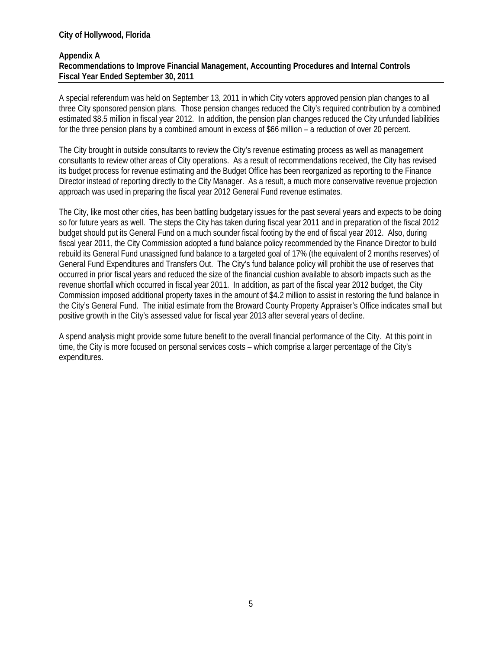#### **City of Hollywood, Florida**

#### **Appendix A Recommendations to Improve Financial Management, Accounting Procedures and Internal Controls Fiscal Year Ended September 30, 2011**

A special referendum was held on September 13, 2011 in which City voters approved pension plan changes to all three City sponsored pension plans. Those pension changes reduced the City's required contribution by a combined estimated \$8.5 million in fiscal year 2012. In addition, the pension plan changes reduced the City unfunded liabilities for the three pension plans by a combined amount in excess of \$66 million – a reduction of over 20 percent.

The City brought in outside consultants to review the City's revenue estimating process as well as management consultants to review other areas of City operations. As a result of recommendations received, the City has revised its budget process for revenue estimating and the Budget Office has been reorganized as reporting to the Finance Director instead of reporting directly to the City Manager. As a result, a much more conservative revenue projection approach was used in preparing the fiscal year 2012 General Fund revenue estimates.

The City, like most other cities, has been battling budgetary issues for the past several years and expects to be doing so for future years as well. The steps the City has taken during fiscal year 2011 and in preparation of the fiscal 2012 budget should put its General Fund on a much sounder fiscal footing by the end of fiscal year 2012. Also, during fiscal year 2011, the City Commission adopted a fund balance policy recommended by the Finance Director to build rebuild its General Fund unassigned fund balance to a targeted goal of 17% (the equivalent of 2 months reserves) of General Fund Expenditures and Transfers Out. The City's fund balance policy will prohibit the use of reserves that occurred in prior fiscal years and reduced the size of the financial cushion available to absorb impacts such as the revenue shortfall which occurred in fiscal year 2011. In addition, as part of the fiscal year 2012 budget, the City Commission imposed additional property taxes in the amount of \$4.2 million to assist in restoring the fund balance in the City's General Fund. The initial estimate from the Broward County Property Appraiser's Office indicates small but positive growth in the City's assessed value for fiscal year 2013 after several years of decline.

A spend analysis might provide some future benefit to the overall financial performance of the City. At this point in time, the City is more focused on personal services costs – which comprise a larger percentage of the City's expenditures.